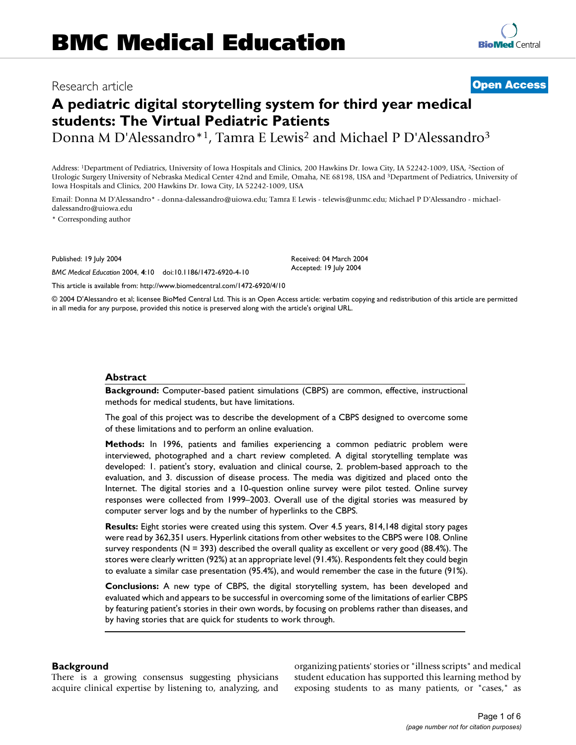# Research article **[Open Access](http://www.biomedcentral.com/info/about/charter/)**

# **A pediatric digital storytelling system for third year medical students: The Virtual Pediatric Patients**

Donna M D'Alessandro\*1, Tamra E Lewis2 and Michael P D'Alessandro3

Address: 1Department of Pediatrics, University of Iowa Hospitals and Clinics, 200 Hawkins Dr. Iowa City, IA 52242-1009, USA, 2Section of Urologic Surgery University of Nebraska Medical Center 42nd and Emile, Omaha, NE 68198, USA and 3Department of Pediatrics, University of Iowa Hospitals and Clinics, 200 Hawkins Dr. Iowa City, IA 52242-1009, USA

Email: Donna M D'Alessandro\* - donna-dalessandro@uiowa.edu; Tamra E Lewis - telewis@unmc.edu; Michael P D'Alessandro - michaeldalessandro@uiowa.edu

\* Corresponding author

Published: 19 July 2004

*BMC Medical Education* 2004, **4**:10 doi:10.1186/1472-6920-4-10

Received: 04 March 2004 Accepted: 19 July 2004

[This article is available from: http://www.biomedcentral.com/1472-6920/4/10](http://www.biomedcentral.com/1472-6920/4/10)

© 2004 D'Alessandro et al; licensee BioMed Central Ltd. This is an Open Access article: verbatim copying and redistribution of this article are permitted in all media for any purpose, provided this notice is preserved along with the article's original URL.

#### **Abstract**

**Background:** Computer-based patient simulations (CBPS) are common, effective, instructional methods for medical students, but have limitations.

The goal of this project was to describe the development of a CBPS designed to overcome some of these limitations and to perform an online evaluation.

**Methods:** In 1996, patients and families experiencing a common pediatric problem were interviewed, photographed and a chart review completed. A digital storytelling template was developed: 1. patient's story, evaluation and clinical course, 2. problem-based approach to the evaluation, and 3. discussion of disease process. The media was digitized and placed onto the Internet. The digital stories and a 10-question online survey were pilot tested. Online survey responses were collected from 1999–2003. Overall use of the digital stories was measured by computer server logs and by the number of hyperlinks to the CBPS.

**Results:** Eight stories were created using this system. Over 4.5 years, 814,148 digital story pages were read by 362,351 users. Hyperlink citations from other websites to the CBPS were 108. Online survey respondents ( $N = 393$ ) described the overall quality as excellent or very good (88.4%). The stores were clearly written (92%) at an appropriate level (91.4%). Respondents felt they could begin to evaluate a similar case presentation (95.4%), and would remember the case in the future (91%).

**Conclusions:** A new type of CBPS, the digital storytelling system, has been developed and evaluated which and appears to be successful in overcoming some of the limitations of earlier CBPS by featuring patient's stories in their own words, by focusing on problems rather than diseases, and by having stories that are quick for students to work through.

#### **Background**

There is a growing consensus suggesting physicians acquire clinical expertise by listening to, analyzing, and organizing patients' stories or "illness scripts" and medical student education has supported this learning method by exposing students to as many patients, or "cases," as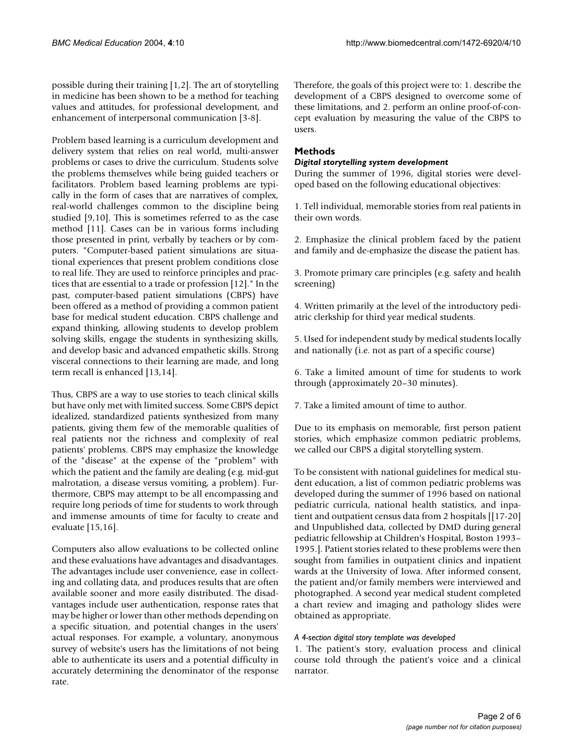possible during their training [1,2]. The art of storytelling in medicine has been shown to be a method for teaching values and attitudes, for professional development, and enhancement of interpersonal communication [3-8].

Problem based learning is a curriculum development and delivery system that relies on real world, multi-answer problems or cases to drive the curriculum. Students solve the problems themselves while being guided teachers or facilitators. Problem based learning problems are typically in the form of cases that are narratives of complex, real-world challenges common to the discipline being studied [9,10]. This is sometimes referred to as the case method [11]. Cases can be in various forms including those presented in print, verbally by teachers or by computers. "Computer-based patient simulations are situational experiences that present problem conditions close to real life. They are used to reinforce principles and practices that are essential to a trade or profession [12]." In the past, computer-based patient simulations (CBPS) have been offered as a method of providing a common patient base for medical student education. CBPS challenge and expand thinking, allowing students to develop problem solving skills, engage the students in synthesizing skills, and develop basic and advanced empathetic skills. Strong visceral connections to their learning are made, and long term recall is enhanced [13,14].

Thus, CBPS are a way to use stories to teach clinical skills but have only met with limited success. Some CBPS depict idealized, standardized patients synthesized from many patients, giving them few of the memorable qualities of real patients nor the richness and complexity of real patients' problems. CBPS may emphasize the knowledge of the "disease" at the expense of the "problem" with which the patient and the family are dealing (e.g. mid-gut malrotation, a disease versus vomiting, a problem). Furthermore, CBPS may attempt to be all encompassing and require long periods of time for students to work through and immense amounts of time for faculty to create and evaluate [15,16].

Computers also allow evaluations to be collected online and these evaluations have advantages and disadvantages. The advantages include user convenience, ease in collecting and collating data, and produces results that are often available sooner and more easily distributed. The disadvantages include user authentication, response rates that may be higher or lower than other methods depending on a specific situation, and potential changes in the users' actual responses. For example, a voluntary, anonymous survey of website's users has the limitations of not being able to authenticate its users and a potential difficulty in accurately determining the denominator of the response rate.

Therefore, the goals of this project were to: 1. describe the development of a CBPS designed to overcome some of these limitations, and 2. perform an online proof-of-concept evaluation by measuring the value of the CBPS to users.

## **Methods**

#### *Digital storytelling system development*

During the summer of 1996, digital stories were developed based on the following educational objectives:

1. Tell individual, memorable stories from real patients in their own words.

2. Emphasize the clinical problem faced by the patient and family and de-emphasize the disease the patient has.

3. Promote primary care principles (e.g. safety and health screening)

4. Written primarily at the level of the introductory pediatric clerkship for third year medical students.

5. Used for independent study by medical students locally and nationally (i.e. not as part of a specific course)

6. Take a limited amount of time for students to work through (approximately 20–30 minutes).

7. Take a limited amount of time to author.

Due to its emphasis on memorable, first person patient stories, which emphasize common pediatric problems, we called our CBPS a digital storytelling system.

To be consistent with national guidelines for medical student education, a list of common pediatric problems was developed during the summer of 1996 based on national pediatric curricula, national health statistics, and inpatient and outpatient census data from 2 hospitals [[17-20] and Unpublished data, collected by DMD during general pediatric fellowship at Children's Hospital, Boston 1993– 1995.]. Patient stories related to these problems were then sought from families in outpatient clinics and inpatient wards at the University of Iowa. After informed consent, the patient and/or family members were interviewed and photographed. A second year medical student completed a chart review and imaging and pathology slides were obtained as appropriate.

#### *A 4-section digital story template was developed*

1. The patient's story, evaluation process and clinical course told through the patient's voice and a clinical narrator.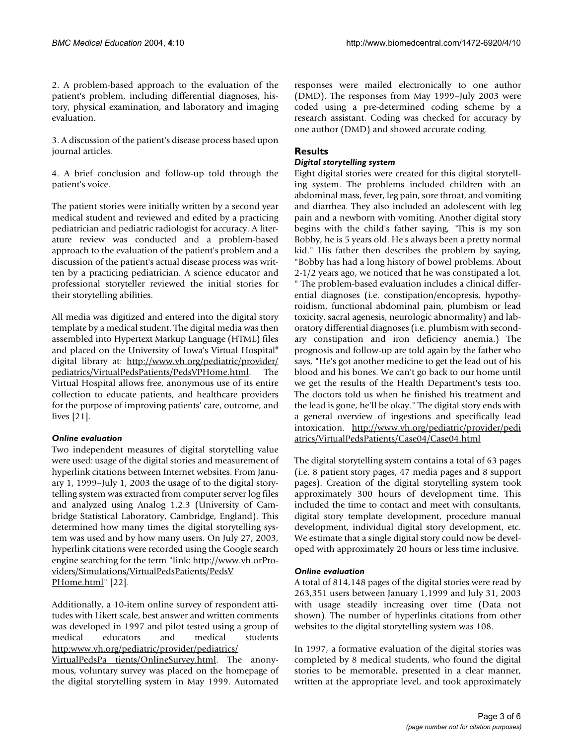2. A problem-based approach to the evaluation of the patient's problem, including differential diagnoses, history, physical examination, and laboratory and imaging evaluation.

3. A discussion of the patient's disease process based upon journal articles.

4. A brief conclusion and follow-up told through the patient's voice.

The patient stories were initially written by a second year medical student and reviewed and edited by a practicing pediatrician and pediatric radiologist for accuracy. A literature review was conducted and a problem-based approach to the evaluation of the patient's problem and a discussion of the patient's actual disease process was written by a practicing pediatrician. A science educator and professional storyteller reviewed the initial stories for their storytelling abilities.

All media was digitized and entered into the digital story template by a medical student. The digital media was then assembled into Hypertext Markup Language (HTML) files and placed on the University of Iowa's Virtual Hospital® digital library at: [http://www.vh.org/pediatric/provider/](http://www.vh.org/pediatric/provider/pediatrics/VirtualPedsPatients/PedsVPHome.html) [pediatrics/VirtualPedsPatients/PedsVPHome.html.](http://www.vh.org/pediatric/provider/pediatrics/VirtualPedsPatients/PedsVPHome.html) The Virtual Hospital allows free, anonymous use of its entire collection to educate patients, and healthcare providers for the purpose of improving patients' care, outcome, and lives [21].

### *Online evaluation*

Two independent measures of digital storytelling value were used: usage of the digital stories and measurement of hyperlink citations between Internet websites. From January 1, 1999–July 1, 2003 the usage of to the digital storytelling system was extracted from computer server log files and analyzed using Analog 1.2.3 (University of Cambridge Statistical Laboratory, Cambridge, England). This determined how many times the digital storytelling system was used and by how many users. On July 27, 2003, hyperlink citations were recorded using the Google search engine searching for the term "link: [http://www.vh.orPro](http://www.vh.org/Providers/Simulations/VirtualPedsPatients/PedsVPHome.html)[viders/Simulations/VirtualPedsPatients/PedsV](http://www.vh.org/Providers/Simulations/VirtualPedsPatients/PedsVPHome.html) [PHome.html](http://www.vh.org/Providers/Simulations/VirtualPedsPatients/PedsVPHome.html)" [22].

Additionally, a 10-item online survey of respondent attitudes with Likert scale, best answer and written comments was developed in 1997 and pilot tested using a group of medical educators and medical students [http:www.vh.org/pediatric/provider/pediatrics/](http://www.vh.org/pediatric/provider/pediatrics/VirtualPedsPatients/OnlineSurvey.html)

[VirtualPedsPa tients/OnlineSurvey.html.](http://www.vh.org/pediatric/provider/pediatrics/VirtualPedsPatients/OnlineSurvey.html) The anonymous, voluntary survey was placed on the homepage of the digital storytelling system in May 1999. Automated responses were mailed electronically to one author (DMD). The responses from May 1999–July 2003 were coded using a pre-determined coding scheme by a research assistant. Coding was checked for accuracy by one author (DMD) and showed accurate coding.

# **Results**

## *Digital storytelling system*

Eight digital stories were created for this digital storytelling system. The problems included children with an abdominal mass, fever, leg pain, sore throat, and vomiting and diarrhea. They also included an adolescent with leg pain and a newborn with vomiting. Another digital story begins with the child's father saying, "This is my son Bobby, he is 5 years old. He's always been a pretty normal kid." His father then describes the problem by saying, "Bobby has had a long history of bowel problems. About 2-1/2 years ago, we noticed that he was constipated a lot. " The problem-based evaluation includes a clinical differential diagnoses (i.e. constipation/encopresis, hypothyroidism, functional abdominal pain, plumbism or lead toxicity, sacral agenesis, neurologic abnormality) and laboratory differential diagnoses (i.e. plumbism with secondary constipation and iron deficiency anemia.) The prognosis and follow-up are told again by the father who says, "He's got another medicine to get the lead out of his blood and his bones. We can't go back to our home until we get the results of the Health Department's tests too. The doctors told us when he finished his treatment and the lead is gone, he'll be okay." The digital story ends with a general overview of ingestions and specifically lead intoxication. [http://www.vh.org/pediatric/provider/pedi](http://www.vh.org/pediatric/provider/pediatrics/VirtualPedsPatients/Case04/Case04.html) [atrics/VirtualPedsPatients/Case04/Case04.html](http://www.vh.org/pediatric/provider/pediatrics/VirtualPedsPatients/Case04/Case04.html)

The digital storytelling system contains a total of 63 pages (i.e. 8 patient story pages, 47 media pages and 8 support pages). Creation of the digital storytelling system took approximately 300 hours of development time. This included the time to contact and meet with consultants, digital story template development, procedure manual development, individual digital story development, etc. We estimate that a single digital story could now be developed with approximately 20 hours or less time inclusive.

### *Online evaluation*

A total of 814,148 pages of the digital stories were read by 263,351 users between January 1,1999 and July 31, 2003 with usage steadily increasing over time (Data not shown). The number of hyperlinks citations from other websites to the digital storytelling system was 108.

In 1997, a formative evaluation of the digital stories was completed by 8 medical students, who found the digital stories to be memorable, presented in a clear manner, written at the appropriate level, and took approximately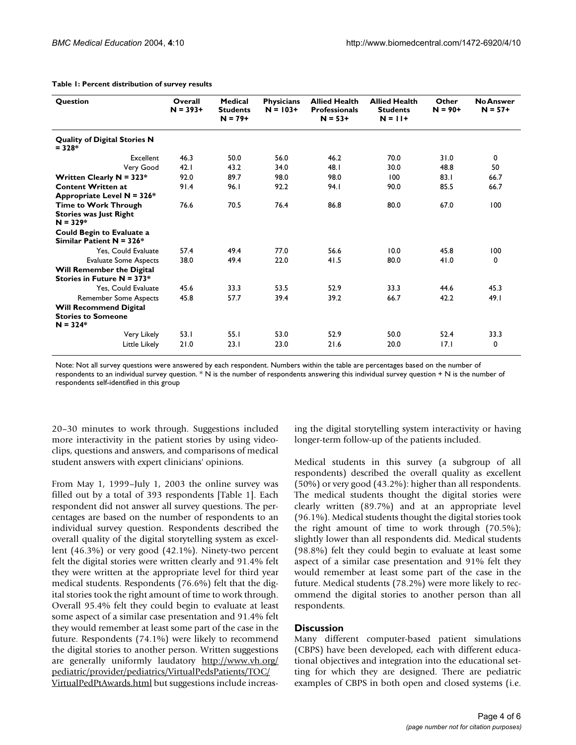| Question                                                                   | Overall<br>$N = 393+$ | Medical<br><b>Students</b><br>$N = 79+$ | <b>Physicians</b><br>$N = 103 +$ | <b>Allied Health</b><br><b>Professionals</b><br>$N = 53+$ | <b>Allied Health</b><br><b>Students</b><br>$N = 11 +$ | Other<br>$N = 90+$ | <b>No Answer</b><br>$N = 57+$ |
|----------------------------------------------------------------------------|-----------------------|-----------------------------------------|----------------------------------|-----------------------------------------------------------|-------------------------------------------------------|--------------------|-------------------------------|
| <b>Quality of Digital Stories N</b><br>$= 328*$                            |                       |                                         |                                  |                                                           |                                                       |                    |                               |
| <b>Excellent</b>                                                           | 46.3                  | 50.0                                    | 56.0                             | 46.2                                                      | 70.0                                                  | 31.0               | 0                             |
| Very Good                                                                  | 42.1                  | 43.2                                    | 34.0                             | 48.1                                                      | 30.0                                                  | 48.8               | 50                            |
| Written Clearly $N = 323*$                                                 | 92.0                  | 89.7                                    | 98.0                             | 98.0                                                      | 100                                                   | 83.1               | 66.7                          |
| <b>Content Written at</b><br>Appropriate Level $N = 326*$                  | 91.4                  | 96.1                                    | 92.2                             | 94.1                                                      | 90.0                                                  | 85.5               | 66.7                          |
| <b>Time to Work Through</b><br><b>Stories was Just Right</b><br>$N = 329*$ | 76.6                  | 70.5                                    | 76.4                             | 86.8                                                      | 80.0                                                  | 67.0               | 100                           |
| Could Begin to Evaluate a<br>Similar Patient $N = 326*$                    |                       |                                         |                                  |                                                           |                                                       |                    |                               |
| Yes, Could Evaluate                                                        | 57.4                  | 49.4                                    | 77.0                             | 56.6                                                      | 10.0                                                  | 45.8               | 100                           |
| <b>Evaluate Some Aspects</b>                                               | 38.0                  | 49.4                                    | 22.0                             | 41.5                                                      | 80.0                                                  | 41.0               | 0                             |
| Will Remember the Digital<br>Stories in Future $N = 373*$                  |                       |                                         |                                  |                                                           |                                                       |                    |                               |
| Yes, Could Evaluate                                                        | 45.6                  | 33.3                                    | 53.5                             | 52.9                                                      | 33.3                                                  | 44.6               | 45.3                          |
| Remember Some Aspects                                                      | 45.8                  | 57.7                                    | 39.4                             | 39.2                                                      | 66.7                                                  | 42.2               | 49.1                          |
| <b>Will Recommend Digital</b><br><b>Stories to Someone</b><br>$N = 324*$   |                       |                                         |                                  |                                                           |                                                       |                    |                               |
| Very Likely                                                                | 53.1                  | 55.1                                    | 53.0                             | 52.9                                                      | 50.0                                                  | 52.4               | 33.3                          |
| Little Likely                                                              | 21.0                  | 23.1                                    | 23.0                             | 21.6                                                      | 20.0                                                  | 17.1               | 0                             |

<span id="page-3-0"></span>**Table 1: Percent distribution of survey results**

Note: Not all survey questions were answered by each respondent. Numbers within the table are percentages based on the number of respondents to an individual survey question. \* N is the number of respondents answering this individual survey question + N is the number of respondents self-identified in this group

20–30 minutes to work through. Suggestions included more interactivity in the patient stories by using videoclips, questions and answers, and comparisons of medical student answers with expert clinicians' opinions.

From May 1, 1999–July 1, 2003 the online survey was filled out by a total of 393 respondents [Table [1](#page-3-0)]. Each respondent did not answer all survey questions. The percentages are based on the number of respondents to an individual survey question. Respondents described the overall quality of the digital storytelling system as excellent (46.3%) or very good (42.1%). Ninety-two percent felt the digital stories were written clearly and 91.4% felt they were written at the appropriate level for third year medical students. Respondents (76.6%) felt that the digital stories took the right amount of time to work through. Overall 95.4% felt they could begin to evaluate at least some aspect of a similar case presentation and 91.4% felt they would remember at least some part of the case in the future. Respondents (74.1%) were likely to recommend the digital stories to another person. Written suggestions are generally uniformly laudatory [http://www.vh.org/](http://www.vh.org/pediatric/provider/pediatrics/VirtualPedsPatients/TOC/VirtualPedPtAwards.html) [pediatric/provider/pediatrics/VirtualPedsPatients/TOC/](http://www.vh.org/pediatric/provider/pediatrics/VirtualPedsPatients/TOC/VirtualPedPtAwards.html) [VirtualPedPtAwards.html](http://www.vh.org/pediatric/provider/pediatrics/VirtualPedsPatients/TOC/VirtualPedPtAwards.html) but suggestions include increasing the digital storytelling system interactivity or having longer-term follow-up of the patients included.

Medical students in this survey (a subgroup of all respondents) described the overall quality as excellent (50%) or very good (43.2%): higher than all respondents. The medical students thought the digital stories were clearly written (89.7%) and at an appropriate level (96.1%). Medical students thought the digital stories took the right amount of time to work through (70.5%); slightly lower than all respondents did. Medical students (98.8%) felt they could begin to evaluate at least some aspect of a similar case presentation and 91% felt they would remember at least some part of the case in the future. Medical students (78.2%) were more likely to recommend the digital stories to another person than all respondents.

#### **Discussion**

Many different computer-based patient simulations (CBPS) have been developed, each with different educational objectives and integration into the educational setting for which they are designed. There are pediatric examples of CBPS in both open and closed systems (i.e.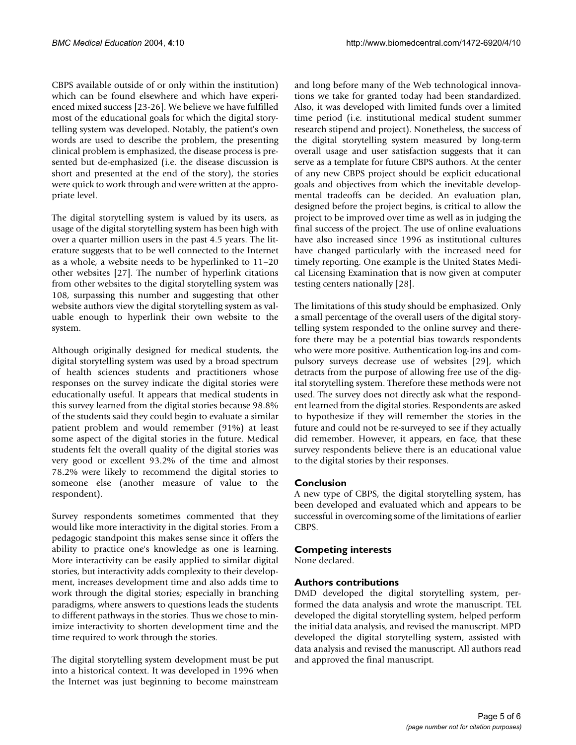CBPS available outside of or only within the institution) which can be found elsewhere and which have experienced mixed success [23-26]. We believe we have fulfilled most of the educational goals for which the digital storytelling system was developed. Notably, the patient's own words are used to describe the problem, the presenting clinical problem is emphasized, the disease process is presented but de-emphasized (i.e. the disease discussion is short and presented at the end of the story), the stories were quick to work through and were written at the appropriate level.

The digital storytelling system is valued by its users, as usage of the digital storytelling system has been high with over a quarter million users in the past 4.5 years. The literature suggests that to be well connected to the Internet as a whole, a website needs to be hyperlinked to 11–20 other websites [27]. The number of hyperlink citations from other websites to the digital storytelling system was 108, surpassing this number and suggesting that other website authors view the digital storytelling system as valuable enough to hyperlink their own website to the system.

Although originally designed for medical students, the digital storytelling system was used by a broad spectrum of health sciences students and practitioners whose responses on the survey indicate the digital stories were educationally useful. It appears that medical students in this survey learned from the digital stories because 98.8% of the students said they could begin to evaluate a similar patient problem and would remember (91%) at least some aspect of the digital stories in the future. Medical students felt the overall quality of the digital stories was very good or excellent 93.2% of the time and almost 78.2% were likely to recommend the digital stories to someone else (another measure of value to the respondent).

Survey respondents sometimes commented that they would like more interactivity in the digital stories. From a pedagogic standpoint this makes sense since it offers the ability to practice one's knowledge as one is learning. More interactivity can be easily applied to similar digital stories, but interactivity adds complexity to their development, increases development time and also adds time to work through the digital stories; especially in branching paradigms, where answers to questions leads the students to different pathways in the stories. Thus we chose to minimize interactivity to shorten development time and the time required to work through the stories.

The digital storytelling system development must be put into a historical context. It was developed in 1996 when the Internet was just beginning to become mainstream

and long before many of the Web technological innovations we take for granted today had been standardized. Also, it was developed with limited funds over a limited time period (i.e. institutional medical student summer research stipend and project). Nonetheless, the success of the digital storytelling system measured by long-term overall usage and user satisfaction suggests that it can serve as a template for future CBPS authors. At the center of any new CBPS project should be explicit educational goals and objectives from which the inevitable developmental tradeoffs can be decided. An evaluation plan, designed before the project begins, is critical to allow the project to be improved over time as well as in judging the final success of the project. The use of online evaluations have also increased since 1996 as institutional cultures have changed particularly with the increased need for timely reporting. One example is the United States Medical Licensing Examination that is now given at computer testing centers nationally [28].

The limitations of this study should be emphasized. Only a small percentage of the overall users of the digital storytelling system responded to the online survey and therefore there may be a potential bias towards respondents who were more positive. Authentication log-ins and compulsory surveys decrease use of websites [29], which detracts from the purpose of allowing free use of the digital storytelling system. Therefore these methods were not used. The survey does not directly ask what the respondent learned from the digital stories. Respondents are asked to hypothesize if they will remember the stories in the future and could not be re-surveyed to see if they actually did remember. However, it appears, en face, that these survey respondents believe there is an educational value to the digital stories by their responses.

# **Conclusion**

A new type of CBPS, the digital storytelling system, has been developed and evaluated which and appears to be successful in overcoming some of the limitations of earlier CBPS.

# **Competing interests**

None declared.

# **Authors contributions**

DMD developed the digital storytelling system, performed the data analysis and wrote the manuscript. TEL developed the digital storytelling system, helped perform the initial data analysis, and revised the manuscript. MPD developed the digital storytelling system, assisted with data analysis and revised the manuscript. All authors read and approved the final manuscript.